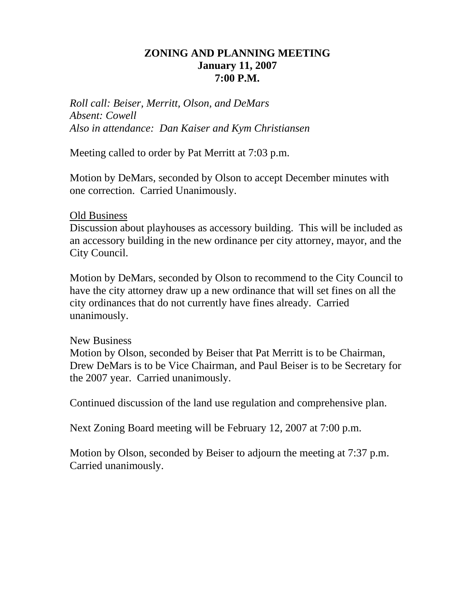# **ZONING AND PLANNING MEETING January 11, 2007 7:00 P.M.**

*Roll call: Beiser, Merritt, Olson, and DeMars Absent: Cowell Also in attendance: Dan Kaiser and Kym Christiansen* 

Meeting called to order by Pat Merritt at 7:03 p.m.

Motion by DeMars, seconded by Olson to accept December minutes with one correction. Carried Unanimously.

## Old Business

Discussion about playhouses as accessory building. This will be included as an accessory building in the new ordinance per city attorney, mayor, and the City Council.

Motion by DeMars, seconded by Olson to recommend to the City Council to have the city attorney draw up a new ordinance that will set fines on all the city ordinances that do not currently have fines already. Carried unanimously.

## New Business

Motion by Olson, seconded by Beiser that Pat Merritt is to be Chairman, Drew DeMars is to be Vice Chairman, and Paul Beiser is to be Secretary for the 2007 year. Carried unanimously.

Continued discussion of the land use regulation and comprehensive plan.

Next Zoning Board meeting will be February 12, 2007 at 7:00 p.m.

Motion by Olson, seconded by Beiser to adjourn the meeting at 7:37 p.m. Carried unanimously.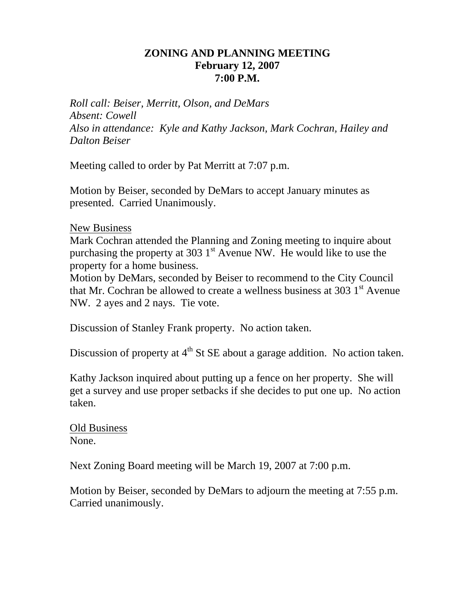# **ZONING AND PLANNING MEETING February 12, 2007 7:00 P.M.**

*Roll call: Beiser, Merritt, Olson, and DeMars Absent: Cowell Also in attendance: Kyle and Kathy Jackson, Mark Cochran, Hailey and Dalton Beiser* 

Meeting called to order by Pat Merritt at 7:07 p.m.

Motion by Beiser, seconded by DeMars to accept January minutes as presented. Carried Unanimously.

## New Business

Mark Cochran attended the Planning and Zoning meeting to inquire about purchasing the property at 303  $1<sup>st</sup>$  Avenue NW. He would like to use the property for a home business.

Motion by DeMars, seconded by Beiser to recommend to the City Council that Mr. Cochran be allowed to create a wellness business at 303  $1<sup>st</sup>$  Avenue NW. 2 ayes and 2 nays. Tie vote.

Discussion of Stanley Frank property. No action taken.

Discussion of property at  $4<sup>th</sup>$  St SE about a garage addition. No action taken.

Kathy Jackson inquired about putting up a fence on her property. She will get a survey and use proper setbacks if she decides to put one up. No action taken.

Old Business None.

Next Zoning Board meeting will be March 19, 2007 at 7:00 p.m.

Motion by Beiser, seconded by DeMars to adjourn the meeting at 7:55 p.m. Carried unanimously.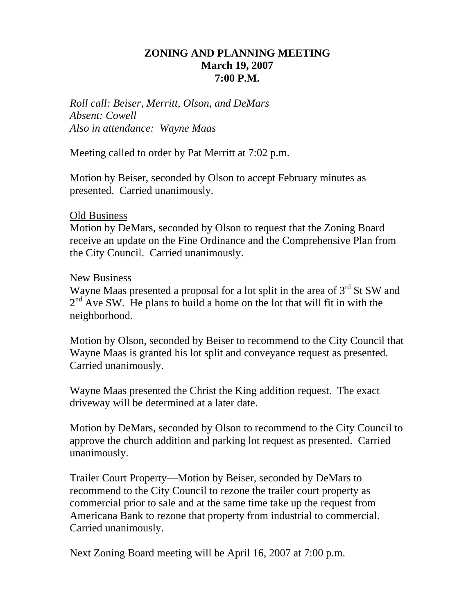# **ZONING AND PLANNING MEETING March 19, 2007 7:00 P.M.**

*Roll call: Beiser, Merritt, Olson, and DeMars Absent: Cowell Also in attendance: Wayne Maas* 

Meeting called to order by Pat Merritt at 7:02 p.m.

Motion by Beiser, seconded by Olson to accept February minutes as presented. Carried unanimously.

## Old Business

Motion by DeMars, seconded by Olson to request that the Zoning Board receive an update on the Fine Ordinance and the Comprehensive Plan from the City Council. Carried unanimously.

#### New Business

Wayne Maas presented a proposal for a lot split in the area of  $3<sup>rd</sup>$  St SW and  $2<sup>nd</sup>$  Ave SW. He plans to build a home on the lot that will fit in with the neighborhood.

Motion by Olson, seconded by Beiser to recommend to the City Council that Wayne Maas is granted his lot split and conveyance request as presented. Carried unanimously.

Wayne Maas presented the Christ the King addition request. The exact driveway will be determined at a later date.

Motion by DeMars, seconded by Olson to recommend to the City Council to approve the church addition and parking lot request as presented. Carried unanimously.

Trailer Court Property—Motion by Beiser, seconded by DeMars to recommend to the City Council to rezone the trailer court property as commercial prior to sale and at the same time take up the request from Americana Bank to rezone that property from industrial to commercial. Carried unanimously.

Next Zoning Board meeting will be April 16, 2007 at 7:00 p.m.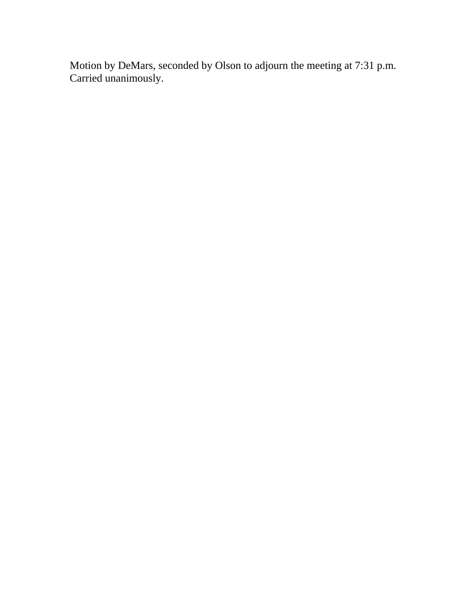Motion by DeMars, seconded by Olson to adjourn the meeting at 7:31 p.m. Carried unanimously.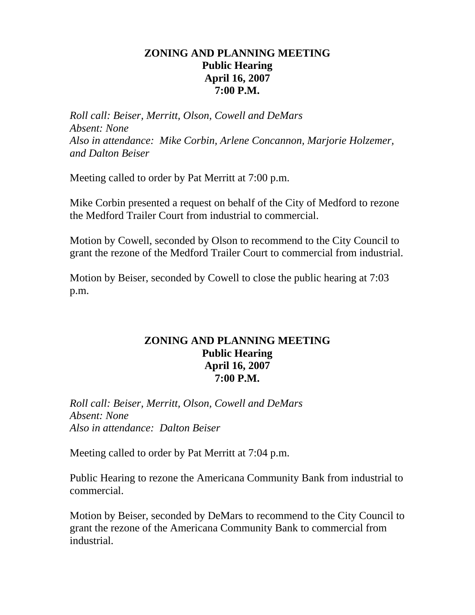# **ZONING AND PLANNING MEETING Public Hearing April 16, 2007 7:00 P.M.**

*Roll call: Beiser, Merritt, Olson, Cowell and DeMars Absent: None Also in attendance: Mike Corbin, Arlene Concannon, Marjorie Holzemer, and Dalton Beiser* 

Meeting called to order by Pat Merritt at 7:00 p.m.

Mike Corbin presented a request on behalf of the City of Medford to rezone the Medford Trailer Court from industrial to commercial.

Motion by Cowell, seconded by Olson to recommend to the City Council to grant the rezone of the Medford Trailer Court to commercial from industrial.

Motion by Beiser, seconded by Cowell to close the public hearing at 7:03 p.m.

# **ZONING AND PLANNING MEETING Public Hearing April 16, 2007 7:00 P.M.**

*Roll call: Beiser, Merritt, Olson, Cowell and DeMars Absent: None Also in attendance: Dalton Beiser* 

Meeting called to order by Pat Merritt at 7:04 p.m.

Public Hearing to rezone the Americana Community Bank from industrial to commercial.

Motion by Beiser, seconded by DeMars to recommend to the City Council to grant the rezone of the Americana Community Bank to commercial from industrial.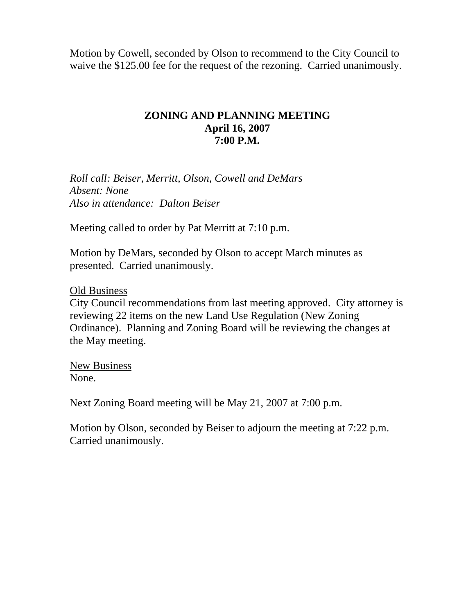Motion by Cowell, seconded by Olson to recommend to the City Council to waive the \$125.00 fee for the request of the rezoning. Carried unanimously.

# **ZONING AND PLANNING MEETING April 16, 2007 7:00 P.M.**

*Roll call: Beiser, Merritt, Olson, Cowell and DeMars Absent: None Also in attendance: Dalton Beiser* 

Meeting called to order by Pat Merritt at 7:10 p.m.

Motion by DeMars, seconded by Olson to accept March minutes as presented. Carried unanimously.

Old Business

City Council recommendations from last meeting approved. City attorney is reviewing 22 items on the new Land Use Regulation (New Zoning Ordinance). Planning and Zoning Board will be reviewing the changes at the May meeting.

New Business None.

Next Zoning Board meeting will be May 21, 2007 at 7:00 p.m.

Motion by Olson, seconded by Beiser to adjourn the meeting at 7:22 p.m. Carried unanimously.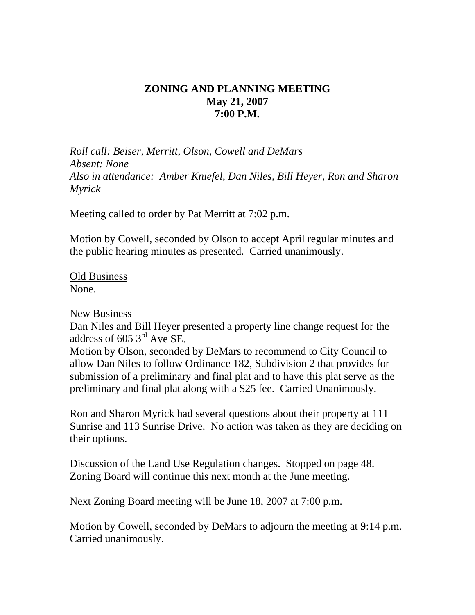# **ZONING AND PLANNING MEETING May 21, 2007 7:00 P.M.**

*Roll call: Beiser, Merritt, Olson, Cowell and DeMars Absent: None Also in attendance: Amber Kniefel, Dan Niles, Bill Heyer, Ron and Sharon Myrick* 

Meeting called to order by Pat Merritt at 7:02 p.m.

Motion by Cowell, seconded by Olson to accept April regular minutes and the public hearing minutes as presented. Carried unanimously.

Old Business None.

#### New Business

Dan Niles and Bill Heyer presented a property line change request for the address of 605 3rd Ave SE.

Motion by Olson, seconded by DeMars to recommend to City Council to allow Dan Niles to follow Ordinance 182, Subdivision 2 that provides for submission of a preliminary and final plat and to have this plat serve as the preliminary and final plat along with a \$25 fee. Carried Unanimously.

Ron and Sharon Myrick had several questions about their property at 111 Sunrise and 113 Sunrise Drive. No action was taken as they are deciding on their options.

Discussion of the Land Use Regulation changes. Stopped on page 48. Zoning Board will continue this next month at the June meeting.

Next Zoning Board meeting will be June 18, 2007 at 7:00 p.m.

Motion by Cowell, seconded by DeMars to adjourn the meeting at 9:14 p.m. Carried unanimously.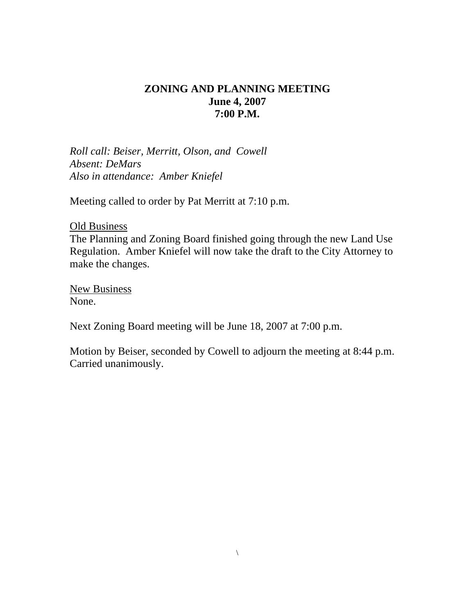# **ZONING AND PLANNING MEETING June 4, 2007 7:00 P.M.**

*Roll call: Beiser, Merritt, Olson, and Cowell Absent: DeMars Also in attendance: Amber Kniefel* 

Meeting called to order by Pat Merritt at 7:10 p.m.

Old Business The Planning and Zoning Board finished going through the new Land Use Regulation. Amber Kniefel will now take the draft to the City Attorney to make the changes.

New Business None.

Next Zoning Board meeting will be June 18, 2007 at 7:00 p.m.

Motion by Beiser, seconded by Cowell to adjourn the meeting at 8:44 p.m. Carried unanimously.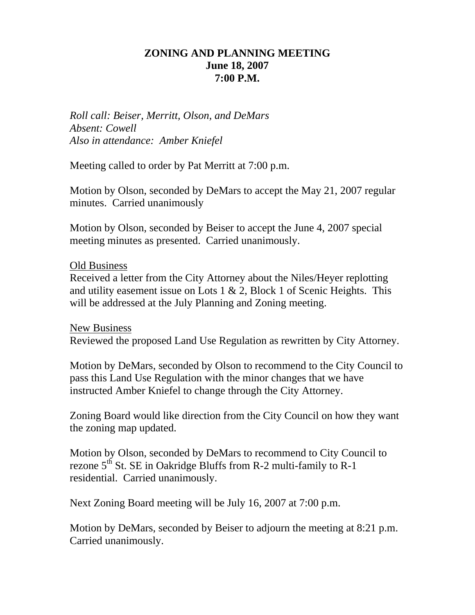# **ZONING AND PLANNING MEETING June 18, 2007 7:00 P.M.**

*Roll call: Beiser, Merritt, Olson, and DeMars Absent: Cowell Also in attendance: Amber Kniefel* 

Meeting called to order by Pat Merritt at 7:00 p.m.

Motion by Olson, seconded by DeMars to accept the May 21, 2007 regular minutes. Carried unanimously

Motion by Olson, seconded by Beiser to accept the June 4, 2007 special meeting minutes as presented. Carried unanimously.

#### Old Business

Received a letter from the City Attorney about the Niles/Heyer replotting and utility easement issue on Lots  $1 \& 2$ , Block 1 of Scenic Heights. This will be addressed at the July Planning and Zoning meeting.

New Business Reviewed the proposed Land Use Regulation as rewritten by City Attorney.

Motion by DeMars, seconded by Olson to recommend to the City Council to pass this Land Use Regulation with the minor changes that we have instructed Amber Kniefel to change through the City Attorney.

Zoning Board would like direction from the City Council on how they want the zoning map updated.

Motion by Olson, seconded by DeMars to recommend to City Council to rezone  $5<sup>th</sup>$  St. SE in Oakridge Bluffs from R-2 multi-family to R-1 residential. Carried unanimously.

Next Zoning Board meeting will be July 16, 2007 at 7:00 p.m.

Motion by DeMars, seconded by Beiser to adjourn the meeting at 8:21 p.m. Carried unanimously.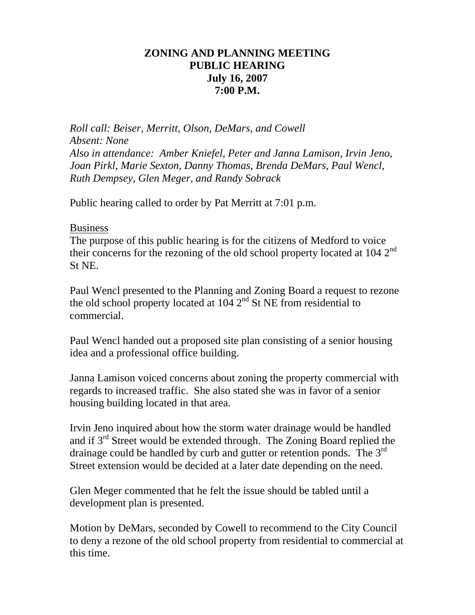# **ZONING AND PLANNING MEETING PUBLIC HEARING July 16, 2007 7:00 P.M.**

*Roll call: Beiser, Merritt, Olson, DeMars, and Cowell Absent: None Also in attendance: Amber Kniefel, Peter and Janna Lamison, Irvin Jeno, Joan Pirkl, Marie Sexton, Danny Thomas, Brenda DeMars, Paul Wencl, Ruth Dempsey, Glen Meger, and Randy Sobrack* 

Public hearing called to order by Pat Merritt at 7:01 p.m.

#### Business

The purpose of this public hearing is for the citizens of Medford to voice their concerns for the rezoning of the old school property located at  $104 \, 2^{nd}$ St NE.

Paul Wencl presented to the Planning and Zoning Board a request to rezone the old school property located at  $104 \, 2^{nd}$  St NE from residential to commercial.

Paul Wencl handed out a proposed site plan consisting of a senior housing idea and a professional office building.

Janna Lamison voiced concerns about zoning the property commercial with regards to increased traffic. She also stated she was in favor of a senior housing building located in that area.

Irvin Jeno inquired about how the storm water drainage would be handled and if 3rd Street would be extended through. The Zoning Board replied the drainage could be handled by curb and gutter or retention ponds. The 3<sup>rd</sup> Street extension would be decided at a later date depending on the need.

Glen Meger commented that he felt the issue should be tabled until a development plan is presented.

Motion by DeMars, seconded by Cowell to recommend to the City Council to deny a rezone of the old school property from residential to commercial at this time.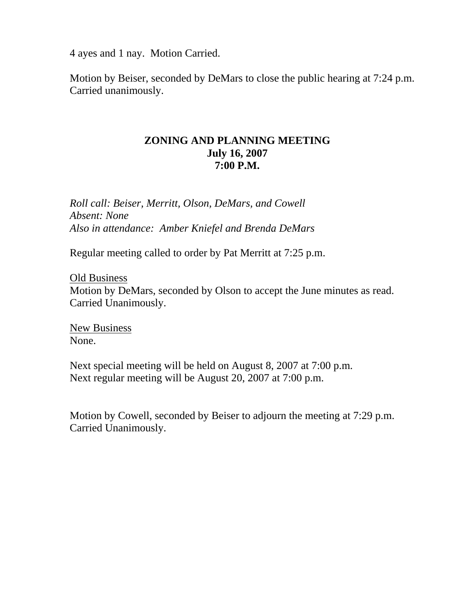4 ayes and 1 nay. Motion Carried.

Motion by Beiser, seconded by DeMars to close the public hearing at 7:24 p.m. Carried unanimously.

### **ZONING AND PLANNING MEETING July 16, 2007 7:00 P.M.**

*Roll call: Beiser, Merritt, Olson, DeMars, and Cowell Absent: None Also in attendance: Amber Kniefel and Brenda DeMars* 

Regular meeting called to order by Pat Merritt at 7:25 p.m.

Old Business Motion by DeMars, seconded by Olson to accept the June minutes as read. Carried Unanimously.

New Business None.

Next special meeting will be held on August 8, 2007 at 7:00 p.m. Next regular meeting will be August 20, 2007 at 7:00 p.m.

Motion by Cowell, seconded by Beiser to adjourn the meeting at 7:29 p.m. Carried Unanimously.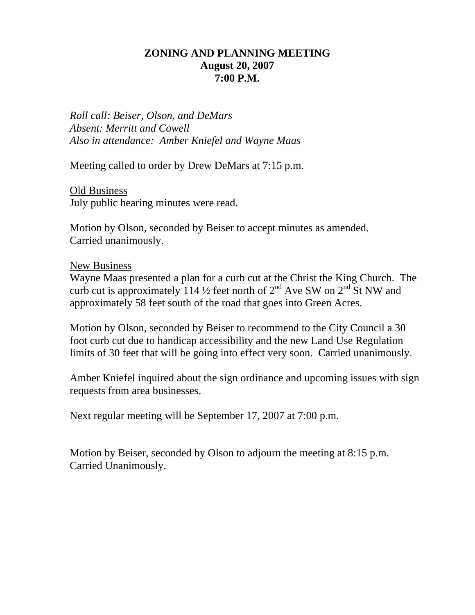## **ZONING AND PLANNING MEETING August 20, 2007 7:00 P.M.**

*Roll call: Beiser, Olson, and DeMars Absent: Merritt and Cowell Also in attendance: Amber Kniefel and Wayne Maas* 

Meeting called to order by Drew DeMars at 7:15 p.m.

Old Business July public hearing minutes were read.

Motion by Olson, seconded by Beiser to accept minutes as amended. Carried unanimously.

#### New Business

Wayne Maas presented a plan for a curb cut at the Christ the King Church. The curb cut is approximately 114  $\frac{1}{2}$  feet north of  $2^{nd}$  Ave SW on  $2^{nd}$  St NW and approximately 58 feet south of the road that goes into Green Acres.

Motion by Olson, seconded by Beiser to recommend to the City Council a 30 foot curb cut due to handicap accessibility and the new Land Use Regulation limits of 30 feet that will be going into effect very soon. Carried unanimously.

Amber Kniefel inquired about the sign ordinance and upcoming issues with sign requests from area businesses.

Next regular meeting will be September 17, 2007 at 7:00 p.m.

Motion by Beiser, seconded by Olson to adjourn the meeting at 8:15 p.m. Carried Unanimously.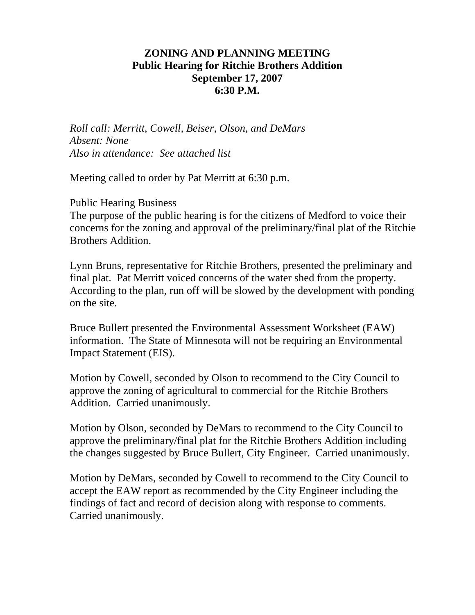# **ZONING AND PLANNING MEETING Public Hearing for Ritchie Brothers Addition September 17, 2007 6:30 P.M.**

*Roll call: Merritt, Cowell, Beiser, Olson, and DeMars Absent: None Also in attendance: See attached list* 

Meeting called to order by Pat Merritt at 6:30 p.m.

Public Hearing Business

The purpose of the public hearing is for the citizens of Medford to voice their concerns for the zoning and approval of the preliminary/final plat of the Ritchie Brothers Addition.

Lynn Bruns, representative for Ritchie Brothers, presented the preliminary and final plat. Pat Merritt voiced concerns of the water shed from the property. According to the plan, run off will be slowed by the development with ponding on the site.

Bruce Bullert presented the Environmental Assessment Worksheet (EAW) information. The State of Minnesota will not be requiring an Environmental Impact Statement (EIS).

Motion by Cowell, seconded by Olson to recommend to the City Council to approve the zoning of agricultural to commercial for the Ritchie Brothers Addition. Carried unanimously.

Motion by Olson, seconded by DeMars to recommend to the City Council to approve the preliminary/final plat for the Ritchie Brothers Addition including the changes suggested by Bruce Bullert, City Engineer. Carried unanimously.

Motion by DeMars, seconded by Cowell to recommend to the City Council to accept the EAW report as recommended by the City Engineer including the findings of fact and record of decision along with response to comments. Carried unanimously.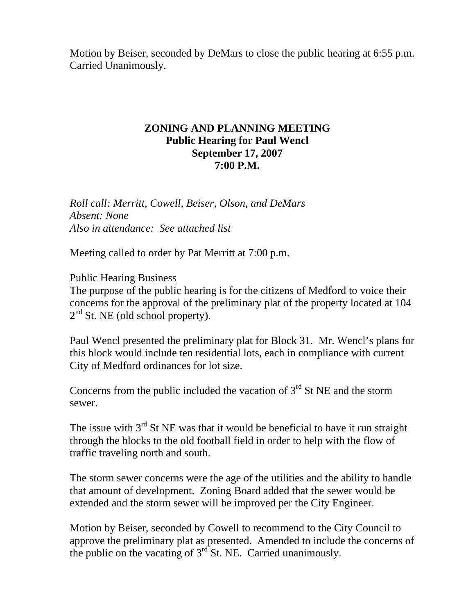Motion by Beiser, seconded by DeMars to close the public hearing at 6:55 p.m. Carried Unanimously.

### **ZONING AND PLANNING MEETING Public Hearing for Paul Wencl September 17, 2007 7:00 P.M.**

*Roll call: Merritt, Cowell, Beiser, Olson, and DeMars Absent: None Also in attendance: See attached list* 

Meeting called to order by Pat Merritt at 7:00 p.m.

# Public Hearing Business

The purpose of the public hearing is for the citizens of Medford to voice their concerns for the approval of the preliminary plat of the property located at 104  $2<sup>nd</sup>$  St. NE (old school property).

Paul Wencl presented the preliminary plat for Block 31. Mr. Wencl's plans for this block would include ten residential lots, each in compliance with current City of Medford ordinances for lot size.

Concerns from the public included the vacation of  $3<sup>rd</sup>$  St NE and the storm sewer.

The issue with  $3<sup>rd</sup>$  St NE was that it would be beneficial to have it run straight through the blocks to the old football field in order to help with the flow of traffic traveling north and south.

The storm sewer concerns were the age of the utilities and the ability to handle that amount of development. Zoning Board added that the sewer would be extended and the storm sewer will be improved per the City Engineer.

Motion by Beiser, seconded by Cowell to recommend to the City Council to approve the preliminary plat as presented. Amended to include the concerns of the public on the vacating of  $3<sup>rd</sup>$  St. NE. Carried unanimously.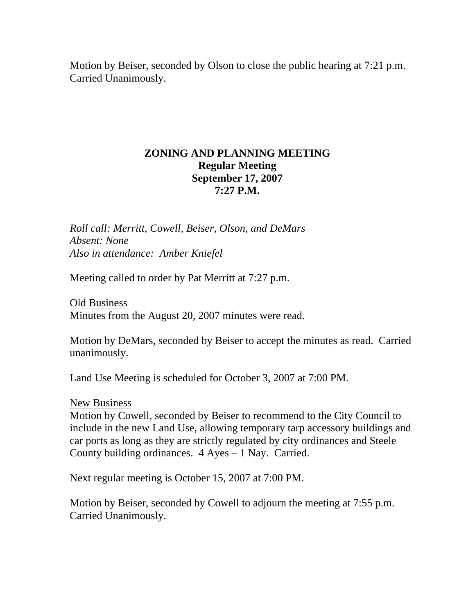Motion by Beiser, seconded by Olson to close the public hearing at 7:21 p.m. Carried Unanimously.

# **ZONING AND PLANNING MEETING Regular Meeting September 17, 2007 7:27 P.M.**

*Roll call: Merritt, Cowell, Beiser, Olson, and DeMars Absent: None Also in attendance: Amber Kniefel* 

Meeting called to order by Pat Merritt at 7:27 p.m.

Old Business Minutes from the August 20, 2007 minutes were read.

Motion by DeMars, seconded by Beiser to accept the minutes as read. Carried unanimously.

Land Use Meeting is scheduled for October 3, 2007 at 7:00 PM.

#### New Business

Motion by Cowell, seconded by Beiser to recommend to the City Council to include in the new Land Use, allowing temporary tarp accessory buildings and car ports as long as they are strictly regulated by city ordinances and Steele County building ordinances. 4 Ayes – 1 Nay. Carried.

Next regular meeting is October 15, 2007 at 7:00 PM.

Motion by Beiser, seconded by Cowell to adjourn the meeting at 7:55 p.m. Carried Unanimously.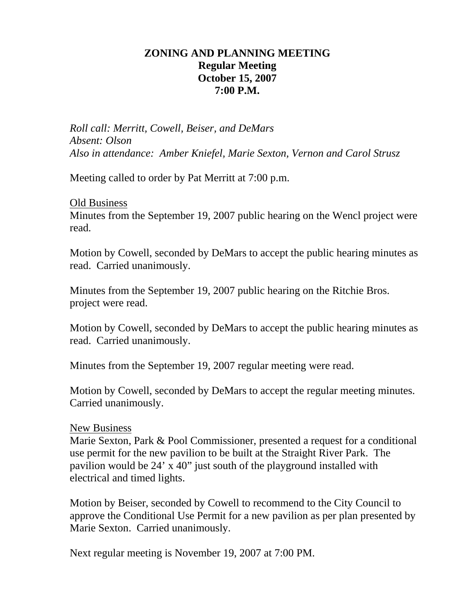# **ZONING AND PLANNING MEETING Regular Meeting October 15, 2007 7:00 P.M.**

*Roll call: Merritt, Cowell, Beiser, and DeMars Absent: Olson Also in attendance: Amber Kniefel, Marie Sexton, Vernon and Carol Strusz* 

Meeting called to order by Pat Merritt at 7:00 p.m.

#### Old Business

Minutes from the September 19, 2007 public hearing on the Wencl project were read.

Motion by Cowell, seconded by DeMars to accept the public hearing minutes as read. Carried unanimously.

Minutes from the September 19, 2007 public hearing on the Ritchie Bros. project were read.

Motion by Cowell, seconded by DeMars to accept the public hearing minutes as read. Carried unanimously.

Minutes from the September 19, 2007 regular meeting were read.

Motion by Cowell, seconded by DeMars to accept the regular meeting minutes. Carried unanimously.

## New Business

Marie Sexton, Park & Pool Commissioner, presented a request for a conditional use permit for the new pavilion to be built at the Straight River Park. The pavilion would be 24' x 40" just south of the playground installed with electrical and timed lights.

Motion by Beiser, seconded by Cowell to recommend to the City Council to approve the Conditional Use Permit for a new pavilion as per plan presented by Marie Sexton. Carried unanimously.

Next regular meeting is November 19, 2007 at 7:00 PM.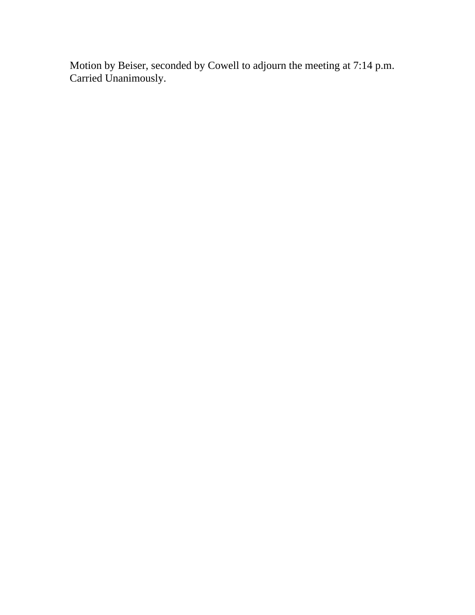Motion by Beiser, seconded by Cowell to adjourn the meeting at 7:14 p.m. Carried Unanimously.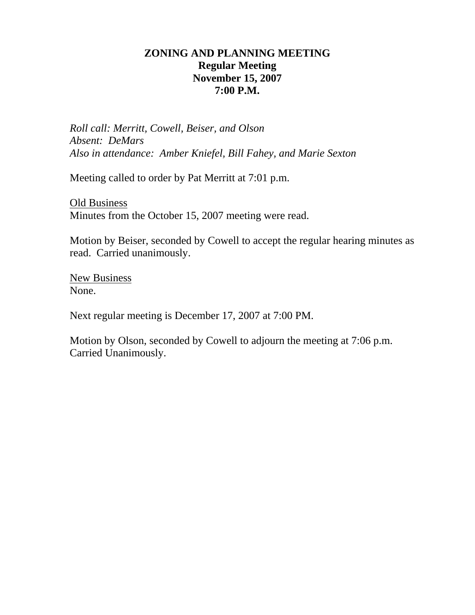# **ZONING AND PLANNING MEETING Regular Meeting November 15, 2007 7:00 P.M.**

*Roll call: Merritt, Cowell, Beiser, and Olson Absent: DeMars Also in attendance: Amber Kniefel, Bill Fahey, and Marie Sexton* 

Meeting called to order by Pat Merritt at 7:01 p.m.

Old Business Minutes from the October 15, 2007 meeting were read.

Motion by Beiser, seconded by Cowell to accept the regular hearing minutes as read. Carried unanimously.

New Business None.

Next regular meeting is December 17, 2007 at 7:00 PM.

Motion by Olson, seconded by Cowell to adjourn the meeting at 7:06 p.m. Carried Unanimously.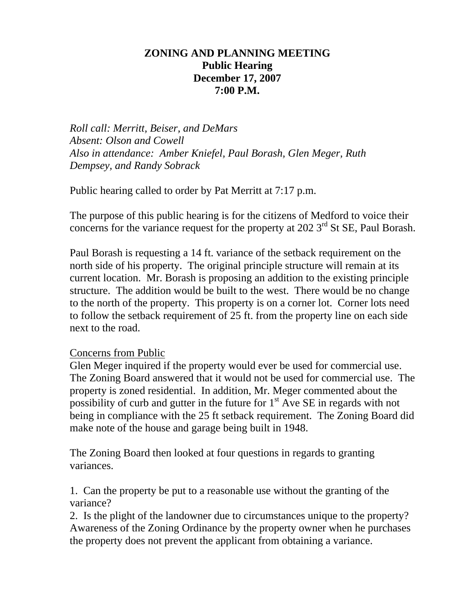# **ZONING AND PLANNING MEETING Public Hearing December 17, 2007 7:00 P.M.**

*Roll call: Merritt, Beiser, and DeMars Absent: Olson and Cowell Also in attendance: Amber Kniefel, Paul Borash, Glen Meger, Ruth Dempsey, and Randy Sobrack* 

Public hearing called to order by Pat Merritt at 7:17 p.m.

The purpose of this public hearing is for the citizens of Medford to voice their concerns for the variance request for the property at  $202$  3<sup>rd</sup> St SE, Paul Borash.

Paul Borash is requesting a 14 ft. variance of the setback requirement on the north side of his property. The original principle structure will remain at its current location. Mr. Borash is proposing an addition to the existing principle structure. The addition would be built to the west. There would be no change to the north of the property. This property is on a corner lot. Corner lots need to follow the setback requirement of 25 ft. from the property line on each side next to the road.

## Concerns from Public

Glen Meger inquired if the property would ever be used for commercial use. The Zoning Board answered that it would not be used for commercial use. The property is zoned residential. In addition, Mr. Meger commented about the possibility of curb and gutter in the future for  $1<sup>st</sup>$  Ave SE in regards with not being in compliance with the 25 ft setback requirement. The Zoning Board did make note of the house and garage being built in 1948.

The Zoning Board then looked at four questions in regards to granting variances.

1. Can the property be put to a reasonable use without the granting of the variance?

2. Is the plight of the landowner due to circumstances unique to the property? Awareness of the Zoning Ordinance by the property owner when he purchases the property does not prevent the applicant from obtaining a variance.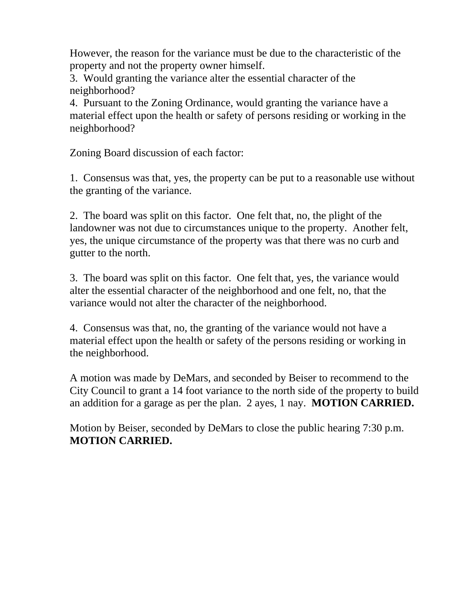However, the reason for the variance must be due to the characteristic of the property and not the property owner himself.

3. Would granting the variance alter the essential character of the neighborhood?

4. Pursuant to the Zoning Ordinance, would granting the variance have a material effect upon the health or safety of persons residing or working in the neighborhood?

Zoning Board discussion of each factor:

1. Consensus was that, yes, the property can be put to a reasonable use without the granting of the variance.

2. The board was split on this factor. One felt that, no, the plight of the landowner was not due to circumstances unique to the property. Another felt, yes, the unique circumstance of the property was that there was no curb and gutter to the north.

3. The board was split on this factor. One felt that, yes, the variance would alter the essential character of the neighborhood and one felt, no, that the variance would not alter the character of the neighborhood.

4. Consensus was that, no, the granting of the variance would not have a material effect upon the health or safety of the persons residing or working in the neighborhood.

A motion was made by DeMars, and seconded by Beiser to recommend to the City Council to grant a 14 foot variance to the north side of the property to build an addition for a garage as per the plan. 2 ayes, 1 nay. **MOTION CARRIED.** 

Motion by Beiser, seconded by DeMars to close the public hearing 7:30 p.m. **MOTION CARRIED.**